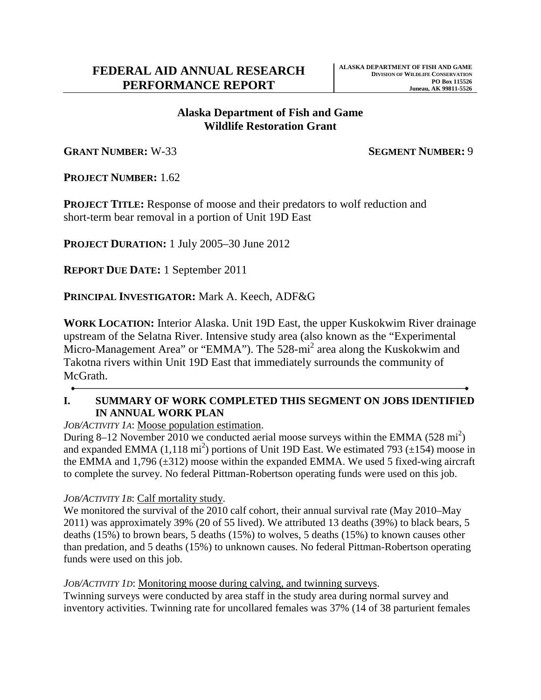## **Wildlife Restoration Grant Alaska Department of Fish and Game**

**GRANT NUMBER:** W-33 **SEGMENT NUMBER:** 9

**PROJECT NUMBER:** 1.62

**PROJECT TITLE:** Response of moose and their predators to wolf reduction and short-term bear removal in a portion of Unit 19D East

**PROJECT DURATION:** 1 July 2005–30 June 2012

**REPORT DUE DATE:** 1 September 2011

**PRINCIPAL INVESTIGATOR:** Mark A. Keech, ADF&G

**WORK LOCATION:** Interior Alaska. Unit 19D East, the upper Kuskokwim River drainage upstream of the Selatna River. Intensive study area (also known as the "Experimental Micro-Management Area" or "EMMA"). The 528-mi<sup>2</sup> area along the Kuskokwim and Takotna rivers within Unit 19D East that immediately surrounds the community of McGrath.

#### **IN ANNUAL WORK PLAN I. SUMMARY OF WORK COMPLETED THIS SEGMENT ON JOBS IDENTIFIED**

*JOB/ACTIVITY 1A*: Moose population estimation.

During 8–12 November  $2010$  we conducted aerial moose surveys within the EMMA (528 mi<sup>2</sup>) and expanded EMMA  $(1,118 \text{ mi}^2)$  portions of Unit 19D East. We estimated 793 ( $\pm 154$ ) moose in the EMMA and  $1,796 \, (\pm 312)$  moose within the expanded EMMA. We used 5 fixed-wing aircraft to complete the survey. No federal Pittman-Robertson operating funds were used on this job.

### *JOB/ACTIVITY 1B*: Calf mortality study.

 deaths (15%) to brown bears, 5 deaths (15%) to wolves, 5 deaths (15%) to known causes other than predation, and 5 deaths (15%) to unknown causes. No federal Pittman-Robertson operating We monitored the survival of the 2010 calf cohort, their annual survival rate (May 2010–May 2011) was approximately 39% (20 of 55 lived). We attributed 13 deaths (39%) to black bears, 5 funds were used on this job.

#### *JOB/ACTIVITY 1D*: Monitoring moose during calving, and twinning surveys.

Twinning surveys were conducted by area staff in the study area during normal survey and inventory activities. Twinning rate for uncollared females was 37% (14 of 38 parturient females